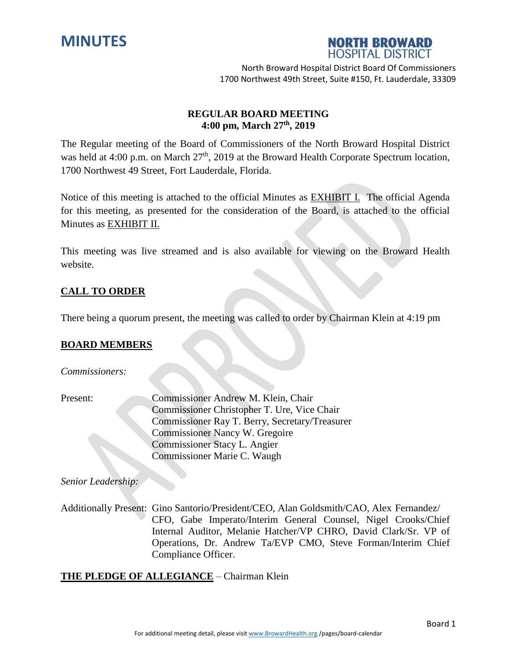



# **REGULAR BOARD MEETING 4:00 pm, March 27th , 2019**

The Regular meeting of the Board of Commissioners of the North Broward Hospital District was held at 4:00 p.m. on March 27<sup>th</sup>, 2019 at the Broward Health Corporate Spectrum location, 1700 Northwest 49 Street, Fort Lauderdale, Florida.

Notice of this meeting is attached to the official Minutes as EXHIBIT I. The official Agenda for this meeting, as presented for the consideration of the Board, is attached to the official Minutes as EXHIBIT II.

This meeting was live streamed and is also available for viewing on the Broward Health website.

# **CALL TO ORDER**

There being a quorum present, the meeting was called to order by Chairman Klein at 4:19 pm

## **BOARD MEMBERS**

*Commissioners:*

Present: Commissioner Andrew M. Klein, Chair Commissioner Christopher T. Ure, Vice Chair Commissioner Ray T. Berry, Secretary/Treasurer Commissioner Nancy W. Gregoire Commissioner Stacy L. Angier Commissioner Marie C. Waugh

*Senior Leadership:*

Additionally Present: Gino Santorio/President/CEO, Alan Goldsmith/CAO, Alex Fernandez/ CFO, Gabe Imperato/Interim General Counsel, Nigel Crooks/Chief Internal Auditor, Melanie Hatcher/VP CHRO, David Clark/Sr. VP of Operations, Dr. Andrew Ta/EVP CMO, Steve Forman/Interim Chief Compliance Officer.

## **THE PLEDGE OF ALLEGIANCE** – Chairman Klein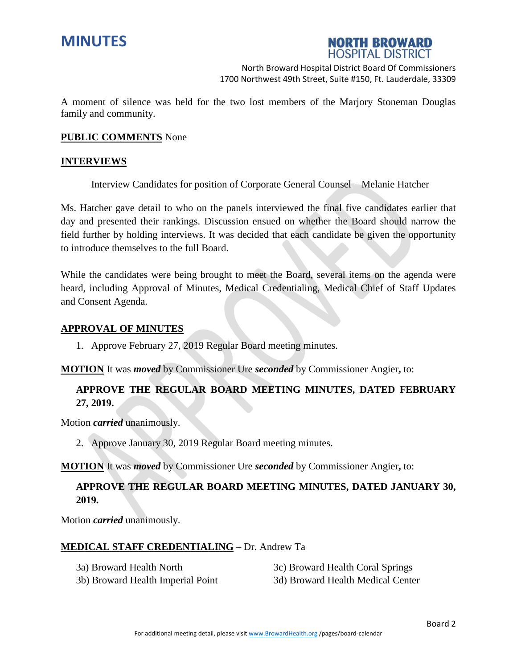



A moment of silence was held for the two lost members of the Marjory Stoneman Douglas family and community.

#### **PUBLIC COMMENTS** None

#### **INTERVIEWS**

Interview Candidates for position of Corporate General Counsel – Melanie Hatcher

Ms. Hatcher gave detail to who on the panels interviewed the final five candidates earlier that day and presented their rankings. Discussion ensued on whether the Board should narrow the field further by holding interviews. It was decided that each candidate be given the opportunity to introduce themselves to the full Board.

While the candidates were being brought to meet the Board, several items on the agenda were heard, including Approval of Minutes, Medical Credentialing, Medical Chief of Staff Updates and Consent Agenda.

#### **APPROVAL OF MINUTES**

1. Approve February 27, 2019 Regular Board meeting minutes.

**MOTION** It was *moved* by Commissioner Ure *seconded* by Commissioner Angier**,** to:

# **APPROVE THE REGULAR BOARD MEETING MINUTES, DATED FEBRUARY 27, 2019.**

Motion *carried* unanimously.

2. Approve January 30, 2019 Regular Board meeting minutes.

**MOTION** It was *moved* by Commissioner Ure *seconded* by Commissioner Angier**,** to:

# **APPROVE THE REGULAR BOARD MEETING MINUTES, DATED JANUARY 30, 2019.**

Motion *carried* unanimously.

## **MEDICAL STAFF CREDENTIALING** – Dr. Andrew Ta

|  | 3a) Broward Health North |  |  |  |  |
|--|--------------------------|--|--|--|--|
|  |                          |  |  |  |  |

3c) Broward Health Coral Springs

3b) Broward Health Imperial Point 3d) Broward Health Medical Center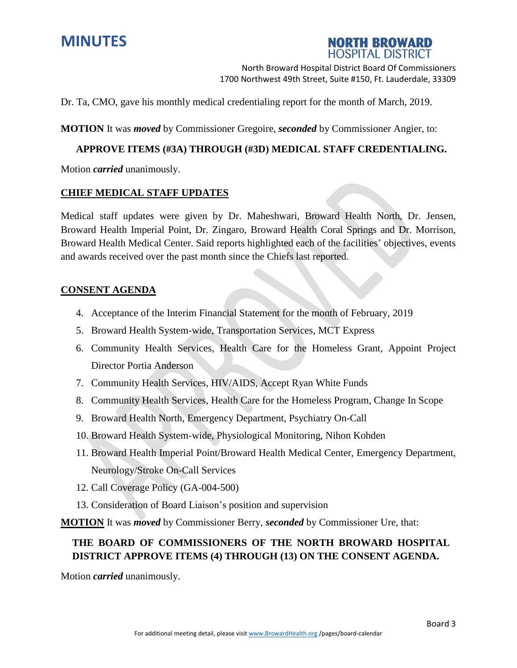



Dr. Ta, CMO, gave his monthly medical credentialing report for the month of March, 2019.

**MOTION** It was *moved* by Commissioner Gregoire, *seconded* by Commissioner Angier, to:

## **APPROVE ITEMS (#3A) THROUGH (#3D) MEDICAL STAFF CREDENTIALING.**

Motion *carried* unanimously.

### **CHIEF MEDICAL STAFF UPDATES**

Medical staff updates were given by Dr. Maheshwari, Broward Health North, Dr. Jensen, Broward Health Imperial Point, Dr. Zingaro, Broward Health Coral Springs and Dr. Morrison, Broward Health Medical Center. Said reports highlighted each of the facilities' objectives, events and awards received over the past month since the Chiefs last reported.

#### **CONSENT AGENDA**

- 4. Acceptance of the Interim Financial Statement for the month of February, 2019
- 5. Broward Health System-wide, Transportation Services, MCT Express
- 6. Community Health Services, Health Care for the Homeless Grant, Appoint Project Director Portia Anderson
- 7. Community Health Services, HIV/AIDS, Accept Ryan White Funds
- 8. Community Health Services, Health Care for the Homeless Program, Change In Scope
- 9. Broward Health North, Emergency Department, Psychiatry On-Call
- 10. Broward Health System-wide, Physiological Monitoring, Nihon Kohden
- 11. Broward Health Imperial Point/Broward Health Medical Center, Emergency Department, Neurology/Stroke On-Call Services
- 12. Call Coverage Policy (GA-004-500)
- 13. Consideration of Board Liaison's position and supervision

**MOTION** It was *moved* by Commissioner Berry, *seconded* by Commissioner Ure, that:

# **THE BOARD OF COMMISSIONERS OF THE NORTH BROWARD HOSPITAL DISTRICT APPROVE ITEMS (4) THROUGH (13) ON THE CONSENT AGENDA.**

Motion *carried* unanimously.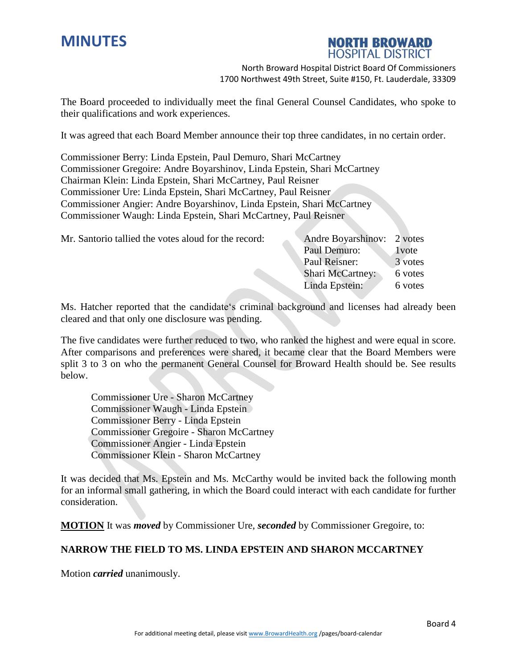# **MINUTES**



North Broward Hospital District Board Of Commissioners 1700 Northwest 49th Street, Suite #150, Ft. Lauderdale, 33309

The Board proceeded to individually meet the final General Counsel Candidates, who spoke to their qualifications and work experiences.

It was agreed that each Board Member announce their top three candidates, in no certain order.

Commissioner Berry: Linda Epstein, Paul Demuro, Shari McCartney Commissioner Gregoire: Andre Boyarshinov, Linda Epstein, Shari McCartney Chairman Klein: Linda Epstein, Shari McCartney, Paul Reisner Commissioner Ure: Linda Epstein, Shari McCartney, Paul Reisner Commissioner Angier: Andre Boyarshinov, Linda Epstein, Shari McCartney Commissioner Waugh: Linda Epstein, Shari McCartney, Paul Reisner

| Mr. Santorio tallied the votes aloud for the record: | Andre Boyarshinov: 2 votes |         |
|------------------------------------------------------|----------------------------|---------|
|                                                      | Paul Demuro:               | 1 vote  |
|                                                      | Paul Reisner:              | 3 votes |
|                                                      | <b>Shari McCartney:</b>    | 6 votes |
|                                                      | Linda Epstein:             | 6 votes |

Ms. Hatcher reported that the candidate's criminal background and licenses had already been cleared and that only one disclosure was pending.

The five candidates were further reduced to two, who ranked the highest and were equal in score. After comparisons and preferences were shared, it became clear that the Board Members were split 3 to 3 on who the permanent General Counsel for Broward Health should be. See results below.

Commissioner Ure - Sharon McCartney Commissioner Waugh - Linda Epstein Commissioner Berry - Linda Epstein Commissioner Gregoire - Sharon McCartney Commissioner Angier - Linda Epstein Commissioner Klein - Sharon McCartney

It was decided that Ms. Epstein and Ms. McCarthy would be invited back the following month for an informal small gathering, in which the Board could interact with each candidate for further consideration.

**MOTION** It was *moved* by Commissioner Ure, *seconded* by Commissioner Gregoire, to:

# **NARROW THE FIELD TO MS. LINDA EPSTEIN AND SHARON MCCARTNEY**

Motion *carried* unanimously.